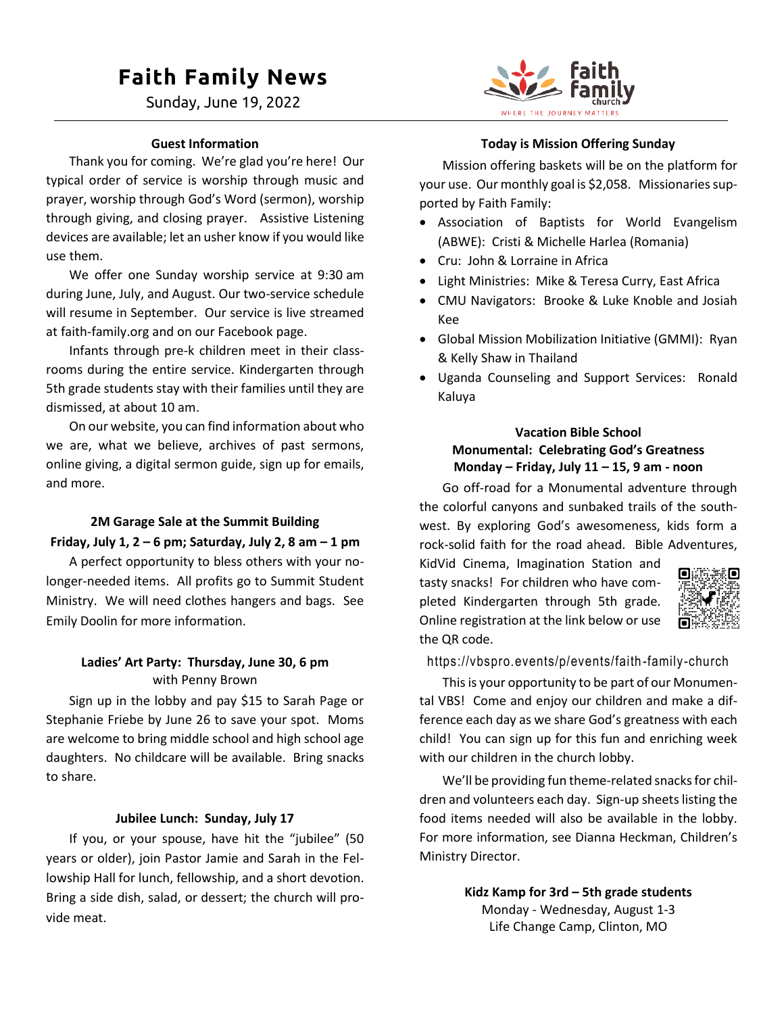# **Faith Family News**

Sunday, June 19, 2022



## **Guest Information**

Thank you for coming. We're glad you're here! Our typical order of service is worship through music and prayer, worship through God's Word (sermon), worship through giving, and closing prayer. Assistive Listening devices are available; let an usher know if you would like use them.

We offer one Sunday worship service at 9:30 am during June, July, and August. Our two-service schedule will resume in September. Our service is live streamed at faith-family.org and on our Facebook page.

Infants through pre-k children meet in their classrooms during the entire service. Kindergarten through 5th grade students stay with their families until they are dismissed, at about 10 am.

On our website, you can find information about who we are, what we believe, archives of past sermons, online giving, a digital sermon guide, sign up for emails, and more.

# **2M Garage Sale at the Summit Building Friday, July 1, 2 – 6 pm; Saturday, July 2, 8 am – 1 pm**

A perfect opportunity to bless others with your nolonger-needed items. All profits go to Summit Student Ministry. We will need clothes hangers and bags. See Emily Doolin for more information.

# **Ladies' Art Party: Thursday, June 30, 6 pm** with Penny Brown

Sign up in the lobby and pay \$15 to Sarah Page or Stephanie Friebe by June 26 to save your spot. Moms are welcome to bring middle school and high school age daughters. No childcare will be available. Bring snacks to share.

### **Jubilee Lunch: Sunday, July 17**

If you, or your spouse, have hit the "jubilee" (50 years or older), join Pastor Jamie and Sarah in the Fellowship Hall for lunch, fellowship, and a short devotion. Bring a side dish, salad, or dessert; the church will provide meat.

#### **Today is Mission Offering Sunday**

Mission offering baskets will be on the platform for your use. Our monthly goal is \$2,058. Missionaries supported by Faith Family:

- Association of Baptists for World Evangelism (ABWE): Cristi & Michelle Harlea (Romania)
- Cru: John & Lorraine in Africa
- Light Ministries: Mike & Teresa Curry, East Africa
- CMU Navigators: Brooke & Luke Knoble and Josiah Kee
- Global Mission Mobilization Initiative (GMMI): Ryan & Kelly Shaw in Thailand
- Uganda Counseling and Support Services: Ronald Kaluya

# **Vacation Bible School Monumental: Celebrating God's Greatness Monday – Friday, July 11 – 15, 9 am - noon**

Go off-road for a Monumental adventure through the colorful canyons and sunbaked trails of the southwest. By exploring God's awesomeness, kids form a rock-solid faith for the road ahead. Bible Adventures,

KidVid Cinema, Imagination Station and tasty snacks! For children who have completed Kindergarten through 5th grade. Online registration at the link below or use the QR code.



https://vbspro.events/p/events/faith -family-church

This is your opportunity to be part of our Monumental VBS! Come and enjoy our children and make a difference each day as we share God's greatness with each child! You can sign up for this fun and enriching week with our children in the church lobby.

We'll be providing fun theme-related snacks for children and volunteers each day. Sign-up sheets listing the food items needed will also be available in the lobby. For more information, see Dianna Heckman, Children's Ministry Director.

> **Kidz Kamp for 3rd – 5th grade students** Monday - Wednesday, August 1-3 Life Change Camp, Clinton, MO